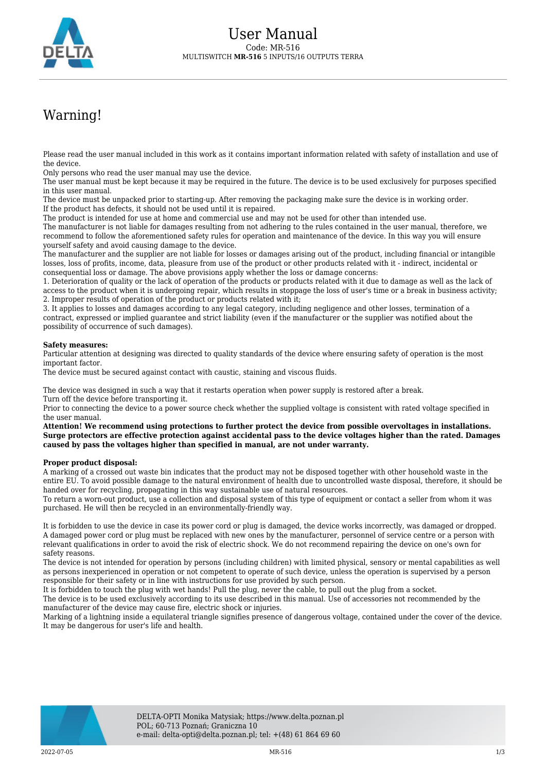

## Warning!

Please read the user manual included in this work as it contains important information related with safety of installation and use of the device.

Only persons who read the user manual may use the device.

The user manual must be kept because it may be required in the future. The device is to be used exclusively for purposes specified in this user manual.

The device must be unpacked prior to starting-up. After removing the packaging make sure the device is in working order. If the product has defects, it should not be used until it is repaired.

The product is intended for use at home and commercial use and may not be used for other than intended use.

The manufacturer is not liable for damages resulting from not adhering to the rules contained in the user manual, therefore, we recommend to follow the aforementioned safety rules for operation and maintenance of the device. In this way you will ensure yourself safety and avoid causing damage to the device.

The manufacturer and the supplier are not liable for losses or damages arising out of the product, including financial or intangible losses, loss of profits, income, data, pleasure from use of the product or other products related with it - indirect, incidental or consequential loss or damage. The above provisions apply whether the loss or damage concerns:

1. Deterioration of quality or the lack of operation of the products or products related with it due to damage as well as the lack of access to the product when it is undergoing repair, which results in stoppage the loss of user's time or a break in business activity; 2. Improper results of operation of the product or products related with it;

3. It applies to losses and damages according to any legal category, including negligence and other losses, termination of a contract, expressed or implied guarantee and strict liability (even if the manufacturer or the supplier was notified about the possibility of occurrence of such damages).

## **Safety measures:**

Particular attention at designing was directed to quality standards of the device where ensuring safety of operation is the most important factor.

The device must be secured against contact with caustic, staining and viscous fluids.

The device was designed in such a way that it restarts operation when power supply is restored after a break. Turn off the device before transporting it.

Prior to connecting the device to a power source check whether the supplied voltage is consistent with rated voltage specified in the user manual.

**Attention! We recommend using protections to further protect the device from possible overvoltages in installations. Surge protectors are effective protection against accidental pass to the device voltages higher than the rated. Damages caused by pass the voltages higher than specified in manual, are not under warranty.**

## **Proper product disposal:**

A marking of a crossed out waste bin indicates that the product may not be disposed together with other household waste in the entire EU. To avoid possible damage to the natural environment of health due to uncontrolled waste disposal, therefore, it should be handed over for recycling, propagating in this way sustainable use of natural resources.

To return a worn-out product, use a collection and disposal system of this type of equipment or contact a seller from whom it was purchased. He will then be recycled in an environmentally-friendly way.

It is forbidden to use the device in case its power cord or plug is damaged, the device works incorrectly, was damaged or dropped. A damaged power cord or plug must be replaced with new ones by the manufacturer, personnel of service centre or a person with relevant qualifications in order to avoid the risk of electric shock. We do not recommend repairing the device on one's own for safety reasons.

The device is not intended for operation by persons (including children) with limited physical, sensory or mental capabilities as well as persons inexperienced in operation or not competent to operate of such device, unless the operation is supervised by a person responsible for their safety or in line with instructions for use provided by such person.

It is forbidden to touch the plug with wet hands! Pull the plug, never the cable, to pull out the plug from a socket.

The device is to be used exclusively according to its use described in this manual. Use of accessories not recommended by the manufacturer of the device may cause fire, electric shock or injuries.

Marking of a lightning inside a equilateral triangle signifies presence of dangerous voltage, contained under the cover of the device. It may be dangerous for user's life and health.

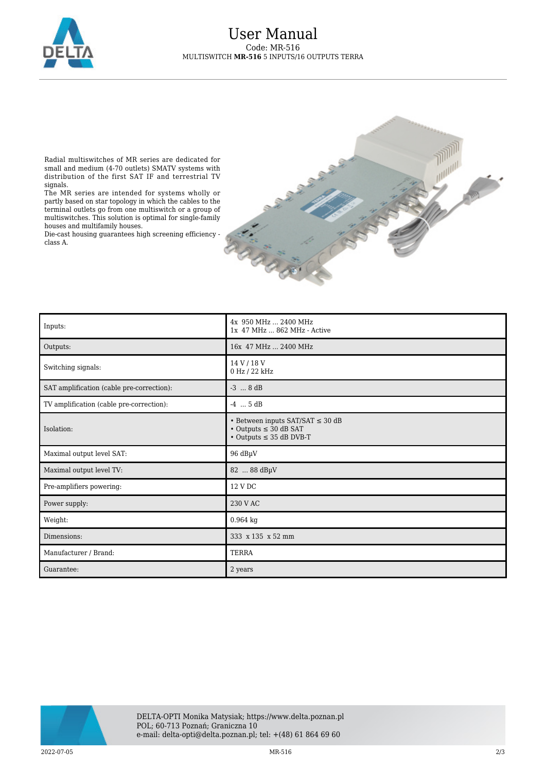

Radial multiswitches of MR series are dedicated for small and medium (4-70 outlets) SMATV systems with distribution of the first SAT IF and terrestrial TV signals.

The MR series are intended for systems wholly or partly based on star topology in which the cables to the terminal outlets go from one multiswitch or a group of multiswitches. This solution is optimal for single-family houses and multifamily houses.

Die-cast housing guarantees high screening efficiency class A.



| Inputs:                                   | 4x 950 MHz  2400 MHz<br>1x 47 MHz  862 MHz - Active                                                             |
|-------------------------------------------|-----------------------------------------------------------------------------------------------------------------|
| Outputs:                                  | 16x 47 MHz  2400 MHz                                                                                            |
| Switching signals:                        | 14 V / 18 V<br>0 Hz / 22 kHz                                                                                    |
| SAT amplification (cable pre-correction): | $-3$ $8 dB$                                                                                                     |
| TV amplification (cable pre-correction):  | $-4$ $5 dB$                                                                                                     |
| Isolation:                                | • Between inputs SAT/SAT $\leq$ 30 dB<br>$\cdot$ Outputs $\leq$ 30 dB SAT<br>$\cdot$ Outputs $\leq$ 35 dB DVB-T |
| Maximal output level SAT:                 | 96 dBµV                                                                                                         |
| Maximal output level TV:                  | 82  88 dBµV                                                                                                     |
| Pre-amplifiers powering:                  | 12 V DC                                                                                                         |
| Power supply:                             | 230 V AC                                                                                                        |
| Weight:                                   | 0.964 kg                                                                                                        |
| Dimensions:                               | 333 x 135 x 52 mm                                                                                               |
| Manufacturer / Brand:                     | <b>TERRA</b>                                                                                                    |
| Guarantee:                                | 2 years                                                                                                         |